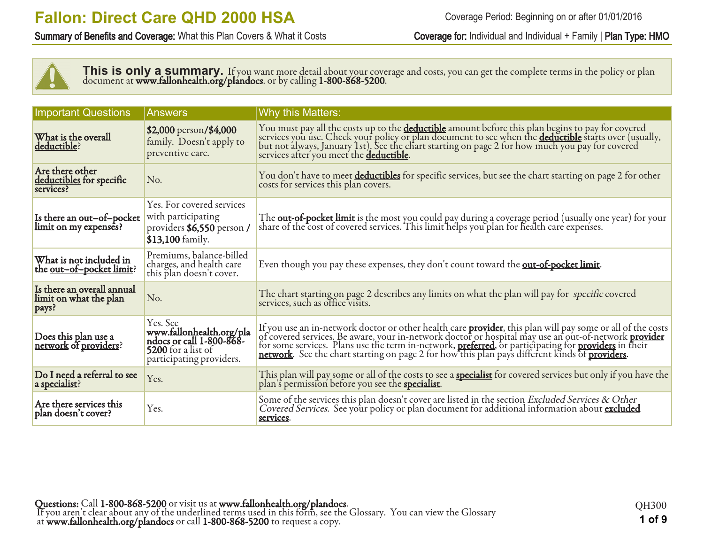Summary of Benefits and Coverage: What this Plan Covers & What it Costs Coverage for: Individual and Individual + Family | Plan Type: HMO



This is only a summary. If you want more detail about your coverage and costs, you can get the complete terms in the policy or plan document at **www.fallonhealth.org/plandocs**. or by calling **1-800-868-5200**.

| <b>Important Questions</b>                                    | Answers                                                                                                                   | <b>Why this Matters:</b>                                                                                                                                                                                                                           |
|---------------------------------------------------------------|---------------------------------------------------------------------------------------------------------------------------|----------------------------------------------------------------------------------------------------------------------------------------------------------------------------------------------------------------------------------------------------|
| What is the overall<br>deductible?                            | \$2,000 person/\$4,000<br>family. Doesn't apply to<br>preventive care.                                                    | You must pay all the costs up to the <b>deductible</b> amount before this plan begins to pay for covered<br>services you use. Check your policy or plan document to see when the <b><u>deductible</u></b> starts over (usually,<br>but not always, |
| Are there other<br>deductibles for specific<br>services?      | No.                                                                                                                       | You don't have to meet deductibles for specific services, but see the chart starting on page 2 for other<br>costs for services this plan covers.                                                                                                   |
| Is there an <u>out-of-pocket</u><br>limit on my expenses?     | Yes. For covered services<br>with participating<br>providers \$6,550 person /<br>\$13,100 family.                         | The <b>out-of-pocket limit</b> is the most you could pay during a coverage period (usually one year) for your share of the cost of covered services. This limit helps you plan for health care expenses.                                           |
| What is not included in<br>the <u>out-of-pocket limit</u> ?   | Premiums, balance-billed<br>charges, and health care<br>this plan doesn't cover.                                          | Even though you pay these expenses, they don't count toward the <b>out-of-pocket limit</b> .                                                                                                                                                       |
| Is there an overall annual<br>limit on what the plan<br>pays? | No.                                                                                                                       | The chart starting on page 2 describes any limits on what the plan will pay for specific covered services, such as office visits.                                                                                                                  |
| Does this plan use a<br>network of providers?                 | Yes. See<br>www.fallonhealth.org/pla<br>ndocs or call 1-800-868-<br><b>5200</b> for a list of<br>participating providers. | If you use an in-network doctor or other health care <b>provider</b> , this plan will pay some or all of the costs of covered services. Be aware, your in-network doctor or hospital may use an out-of-network <b>provider</b> for some s          |
| Do I need a referral to see<br>a specialist?                  | Yes.                                                                                                                      | This plan will pay some or all of the costs to see a <b>specialist</b> for covered services but only if you have the plan's permission before you see the <b>specialist</b> .                                                                      |
| Are there services this<br>plan doesn't cover?                | Yes.                                                                                                                      | Some of the services this plan doesn't cover are listed in the section Excluded Services & Other<br>Covered Services. See your policy or plan document for additional information about excluded<br>services.                                      |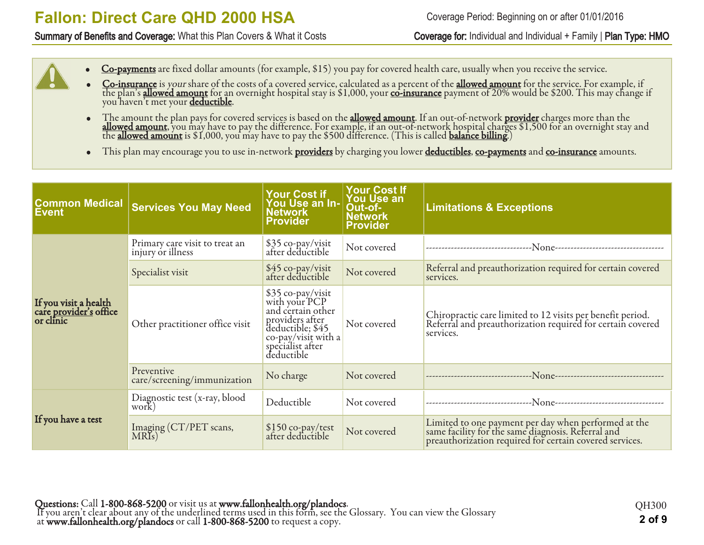#### Summary of Benefits and Coverage: What this Plan Covers & What it Costs Coverage for: Individual and Individual + Family | Plan Type: HMO

Coverage Period: Beginning on or after 01/01/2016

- Co-payments are fixed dollar amounts (for example, \$15) you pay for covered health care, usually when you receive the service.
- Co-insurance is your share of the costs of a covered service, calculated as a percent of the allowed amount for the service. For example, if the plan's <u>allowed amount</u> for an overnight hospital stay is \$1,000, your <u>co-insurance</u> payment of 20% would be \$200. This may change if you haven't met your <mark>deductible</mark>.
- The amount the plan pays for covered services is based on the **allowed amount**. If an out-of-network **provider** charges more than the **allowed amount**, you may have to pay the difference. For example, if an out-of-network hospital charges \$1,500 for an overnight stay and the <u>allowed amount</u> is \$1,000, you may have to pay the \$500 difference. (This is called <u>balance billing</u>.)
- This plan may encourage you to use in-network providers by charging you lower deductibles, co-payments and co-insurance amounts.

| <b>Common Medical</b><br><b>Event</b>                               | <b>Services You May Need</b>                        | Your Cost if<br>You Use an In-<br>Network<br>Provider                                                                                                   | <b>Your Cost If</b><br>You Use an<br>Out-of-<br><b>Network</b><br><b>Provider</b> | <b>Limitations &amp; Exceptions</b>                                                                                                                                   |
|---------------------------------------------------------------------|-----------------------------------------------------|---------------------------------------------------------------------------------------------------------------------------------------------------------|-----------------------------------------------------------------------------------|-----------------------------------------------------------------------------------------------------------------------------------------------------------------------|
|                                                                     | Primary care visit to treat an<br>injury or illness | \$35 co-pay/visit<br>after deductible                                                                                                                   | Not covered                                                                       |                                                                                                                                                                       |
|                                                                     | Specialist visit                                    | \$45 co-pay/visit<br>after deductible                                                                                                                   | Not covered                                                                       | Referral and preauthorization required for certain covered<br>services.                                                                                               |
| If you visit a health<br>care <u>provider's</u> office<br>or clinic | Other practitioner office visit                     | \$35 co-pay/visit<br>with your PCP<br>and certain other<br>providers after<br>deductible; \$45<br>co-pay/visit with a<br>specialist after<br>deductible | Not covered                                                                       | Chiropractic care limited to 12 visits per benefit period.<br>Referral and preauthorization required for certain covered<br>services.                                 |
|                                                                     | Preventive<br>care/screening/immunization           | No charge                                                                                                                                               | Not covered                                                                       |                                                                                                                                                                       |
|                                                                     | Diagnostic test (x-ray, blood<br>work)              | Deductible                                                                                                                                              | Not covered                                                                       |                                                                                                                                                                       |
| If you have a test                                                  | Imaging (CT/PET scans,<br>MRIs)                     | \$150 co-pay/test<br>after deductible                                                                                                                   | Not covered                                                                       | Limited to one payment per day when performed at the<br>same facility for the same diagnosis. Referral and<br>preauthorization required for certain covered services. |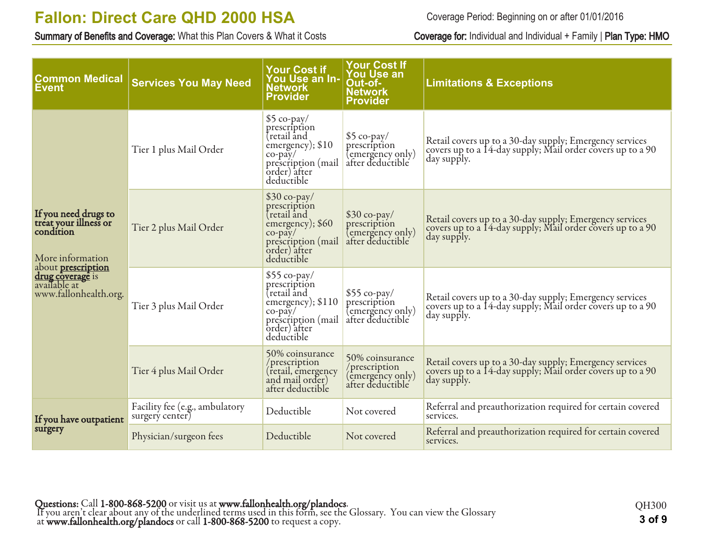Summary of Benefits and Coverage: What this Plan Covers & What it Costs Coverage for: Individual and Individual + Family | Plan Type: HMO

Coverage Period: Beginning on or after 01/01/2016

| <b>Common Medical</b><br>Event                                                                              | <b>Services You May Need</b>                      | <b>Your Cost if</b><br>You Use an In-<br><b>Network</b><br><b>Provider</b>                                                         | <b>Your Cost If</b><br>You Use an<br>Out-of-<br><b>Network</b><br><b>Provider</b> | <b>Limitations &amp; Exceptions</b>                                                                                                  |
|-------------------------------------------------------------------------------------------------------------|---------------------------------------------------|------------------------------------------------------------------------------------------------------------------------------------|-----------------------------------------------------------------------------------|--------------------------------------------------------------------------------------------------------------------------------------|
|                                                                                                             | Tier 1 plus Mail Order                            | $$5$ co-pay/<br>prescription<br>tretail and<br>emergency); \$10<br>$co-pay/$<br>prescription (mail<br>order) after<br>deductible   | $$5$ co-pay/<br>prescription<br>(emergency only)<br>after deductible              | Retail covers up to a 30-day supply; Emergency services<br>covers up to a 14-day supply; Mail order covers up to a 90<br>day supply. |
| If you need drugs to<br>treat your illness or<br>condition<br>More information<br>about <b>prescription</b> | Tier 2 plus Mail Order                            | $$30$ co-pay/<br>prescription<br>retail and<br>emergency); \$60<br>$co$ -pay/<br>prescription (mail<br>order) after<br>deductible  | $$30$ co-pay/<br>prescription<br>(emergency only)<br>after deductible             | Retail covers up to a 30-day supply; Emergency services<br>covers up to a 14-day supply; Mail order covers up to a 90<br>day supply. |
| drug coverage is<br>available at<br>www.fallonhealth.org.                                                   | Tier 3 plus Mail Order                            | $$55$ co-pay/<br>prescription<br>tretail and<br>emergency); \$110<br>$co-pay/$<br>prescription (mail<br>order) after<br>deductible | $$55$ co-pay/<br>prescription<br>(emergency only)<br>after deductible             | Retail covers up to a 30-day supply; Emergency services<br>covers up to a 14-day supply; Mail order covers up to a 90<br>day supply. |
|                                                                                                             | Tier 4 plus Mail Order                            | 50% coinsurance<br>/prescription<br>(retail, emergency<br>and mail order)<br>after deductible                                      | 50% coinsurance<br>/prescription<br>(emergency only)<br>after deductible          | Retail covers up to a 30-day supply; Emergency services<br>covers up to a 14-day supply; Mail order covers up to a 90<br>day supply. |
| If you have outpatient                                                                                      | Facility fee (e.g., ambulatory<br>surgery center) | Deductible                                                                                                                         | Not covered                                                                       | Referral and preauthorization required for certain covered<br>services.                                                              |
| surgery                                                                                                     | Physician/surgeon fees                            | Deductible                                                                                                                         | Not covered                                                                       | Referral and preauthorization required for certain covered<br>services.                                                              |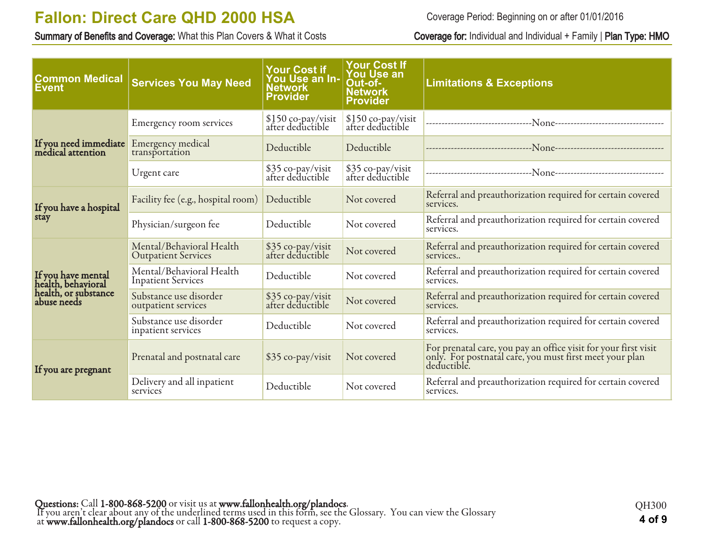Summary of Benefits and Coverage: What this Plan Covers & What it Costs Coverage for: Individual and Individual + Family | Plan Type: HMO

Coverage Period: Beginning on or after 01/01/2016

| <b>Common Medical</b><br><b>Event</b>      | <b>Services You May Need</b>                           | <b>Your Cost if</b><br>You Use an In-<br><b>Network</b><br><b>Provider</b> | <b>Your Cost If</b><br><b>You Use an</b><br>Out-of-<br><b>Network</b><br><b>Provider</b> | <b>Limitations &amp; Exceptions</b>                                                                                                       |
|--------------------------------------------|--------------------------------------------------------|----------------------------------------------------------------------------|------------------------------------------------------------------------------------------|-------------------------------------------------------------------------------------------------------------------------------------------|
|                                            | Emergency room services                                | \$150 co-pay/visit<br>after deductible                                     | \$150 co-pay/visit<br>after deductible                                                   |                                                                                                                                           |
| If you need immediate<br>medical attention | Emergency medical<br>transportation                    | Deductible                                                                 | Deductible                                                                               |                                                                                                                                           |
|                                            | Urgent care                                            | \$35 co-pay/visit<br>after deductible                                      | \$35 co-pay/visit<br>after deductible                                                    |                                                                                                                                           |
| If you have a hospital                     | Facility fee (e.g., hospital room)                     | Deductible                                                                 | Not covered                                                                              | Referral and preauthorization required for certain covered<br>services.                                                                   |
| stay                                       | Physician/surgeon fee                                  |                                                                            | Not covered                                                                              | Referral and preauthorization required for certain covered<br>services.                                                                   |
|                                            | Mental/Behavioral Health<br><b>Outpatient Services</b> | \$35 co-pay/visit<br>after deductible                                      | Not covered                                                                              | Referral and preauthorization required for certain covered<br>services                                                                    |
| If you have mental<br>health, behavioral   | Mental/Behavioral Health<br><b>Inpatient Services</b>  | Deductible                                                                 | Not covered                                                                              | Referral and preauthorization required for certain covered<br>services.                                                                   |
| health, or substance<br>abuse needs        | Substance use disorder<br>outpatient services          | \$35 co-pay/visit<br>after deductible                                      | Not covered                                                                              | Referral and preauthorization required for certain covered<br>services.                                                                   |
|                                            | Substance use disorder<br>inpatient services           | Deductible                                                                 | Not covered                                                                              | Referral and preauthorization required for certain covered<br>services.                                                                   |
| If you are pregnant                        | Prenatal and postnatal care                            | \$35 co-pay/visit                                                          | Not covered                                                                              | For prenatal care, you pay an office visit for your first visit<br>only. For postnatal care, you must first meet your plan<br>deductible. |
|                                            | Delivery and all inpatient<br>services                 | Deductible                                                                 | Not covered                                                                              | Referral and preauthorization required for certain covered<br>services.                                                                   |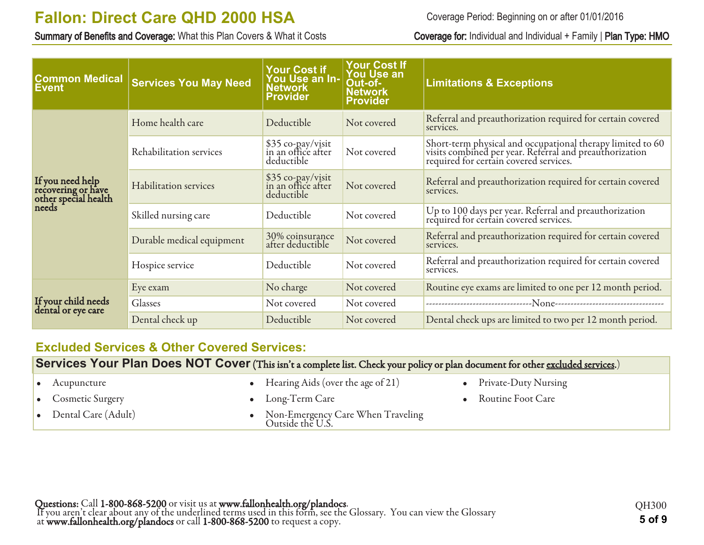Summary of Benefits and Coverage: What this Plan Covers & What it Costs Coverage for: Individual and Individual + Family | Plan Type: HMO

Coverage Period: Beginning on or after 01/01/2016

| <b>Common Medical</b><br><b>Event</b>                                   | <b>Services You May Need</b> | <b>Your Cost if</b><br>You Use an In-<br><b>Network</b><br><b>Provider</b> | <b>Your Cost If</b><br><b>You Use an</b><br>Out-of-<br><b>Network</b><br><b>Provider</b> | <b>Limitations &amp; Exceptions</b>                                                                                                                             |
|-------------------------------------------------------------------------|------------------------------|----------------------------------------------------------------------------|------------------------------------------------------------------------------------------|-----------------------------------------------------------------------------------------------------------------------------------------------------------------|
|                                                                         | Home health care             | Deductible                                                                 | Not covered                                                                              | Referral and preauthorization required for certain covered<br>services.                                                                                         |
| If you need help<br>recovering or have<br>other special health<br>needs | Rehabilitation services      | \$35 co-pay/visit<br>in an office after<br>deductible                      | Not covered                                                                              | Short-term physical and occupational therapy limited to 60<br>visits combined per year. Referral and preauthorization<br>required for certain covered services. |
|                                                                         | Habilitation services        | \$35 co-pay/visit<br>in an office after<br>deductible                      | Not covered                                                                              | Referral and preauthorization required for certain covered<br>services.                                                                                         |
|                                                                         | Skilled nursing care         | Deductible                                                                 | Not covered                                                                              | Up to 100 days per year. Referral and preauthorization<br>required for certain covered services.                                                                |
|                                                                         | Durable medical equipment    | 30% coinsurance<br>after deductible                                        | Not covered                                                                              | Referral and preauthorization required for certain covered<br>services.                                                                                         |
|                                                                         | Hospice service              | Deductible                                                                 | Not covered                                                                              | Referral and preauthorization required for certain covered<br>services.                                                                                         |
|                                                                         | Eye exam                     | No charge                                                                  | Not covered                                                                              | Routine eye exams are limited to one per 12 month period.                                                                                                       |
| If your child needs<br>dental or eye care                               | Glasses                      | Not covered                                                                | Not covered                                                                              |                                                                                                                                                                 |
|                                                                         | Dental check up              | Deductible                                                                 | Not covered                                                                              | Dental check ups are limited to two per 12 month period.                                                                                                        |

### **Excluded Services & Other Covered Services:**

**Services Your Plan Does NOT Cover** (This isn't a complete list. Check your policy or plan document for other excluded services.)

| $\bullet$ Acupuncture         | • Hearing Aids (over the age of 21)                     | • Private-Duty Nursing |
|-------------------------------|---------------------------------------------------------|------------------------|
| • Cosmetic Surgery            | $\bullet$ Long-Term Care                                | • Routine Foot Care    |
| $\bullet$ Dental Care (Adult) | • Non-Emergency Care When Traveling<br>Outside the U.S. |                        |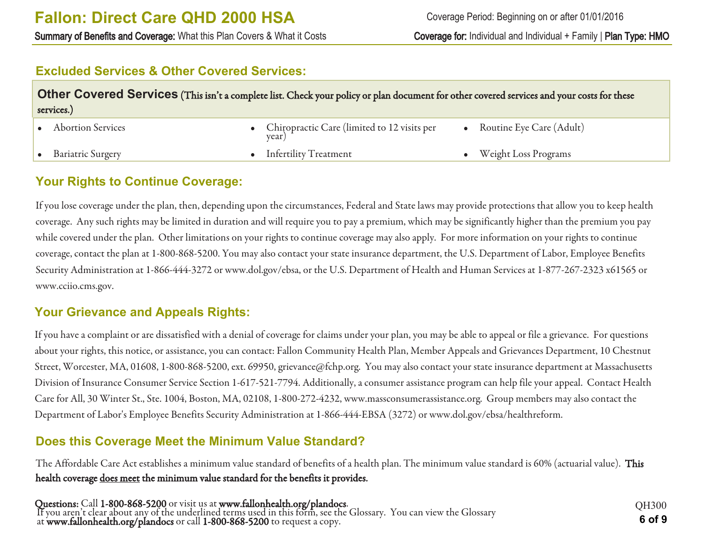### **Excluded Services & Other Covered Services:**

| Other Covered Services (This isn't a complete list. Check your policy or plan document for other covered services and your costs for these<br>services.) |  |                                                        |  |                          |  |
|----------------------------------------------------------------------------------------------------------------------------------------------------------|--|--------------------------------------------------------|--|--------------------------|--|
| • Abortion Services                                                                                                                                      |  | • Chiropractic Care (limited to 12 visits per<br>year) |  | Routine Eye Care (Adult) |  |
| <b>Bariatric Surgery</b>                                                                                                                                 |  | • Infertility Treatment                                |  | Weight Loss Programs     |  |

### **Your Rights to Continue Coverage:**

If you lose coverage under the plan, then, depending upon the circumstances, Federal and State laws may provide protections that allow you to keep health coverage. Any such rights may be limited in duration and will require you to pay a premium, which may be significantly higher than the premium you pay while covered under the plan. Other limitations on your rights to continue coverage may also apply. For more information on your rights to continue coverage, contact the plan at 1-800-868-5200. You may also contact your state insurance department, the U.S. Department of Labor, Employee Benefits Security Administration at 1-866-444-3272 or www.dol.gov/ebsa, or the U.S. Department of Health and Human Services at 1-877-267-2323 x61565 or www.cciio.cms.gov.

#### **Your Grievance and Appeals Rights:**

If you have a complaint or are dissatisfied with a denial of coverage for claims under your plan, you may be able to appeal or file a grievance. For questions about your rights, this notice, or assistance, you can contact: Fallon Community Health Plan, Member Appeals and Grievances Department, 10 Chestnut Street, Worcester, MA, 01608, 1-800-868-5200, ext. 69950, grievance@fchp.org. You may also contact your state insurance department at Massachusetts Division of Insurance Consumer Service Section 1-617-521-7794. Additionally, a consumer assistance program can help file your appeal. Contact Health Care for All, 30 Winter St., Ste. 1004, Boston, MA, 02108, 1-800-272-4232, www.massconsumerassistance.org. Group members may also contact the Department of Labor's Employee Benefits Security Administration at 1-866-444-EBSA (3272) or www.dol.gov/ebsa/healthreform.

### **Does this Coverage Meet the Minimum Value Standard?**

The Affordable Care Act establishes a minimum value standard of benefits of a health plan. The minimum value standard is 60% (actuarial value). This health coverage does meet the minimum value standard for the benefits it provides.

Questions: Call 1-800-868-5200 or visit us at www.fallonhealth.org/plandocs. If you aren't clear about any of the underlined terms used in this form, see the Glossary. You can view the Glossary at www.fallonhealth.org/plandocs or call 1-800-868-5200 to request a copy. **6 of 9**

QH300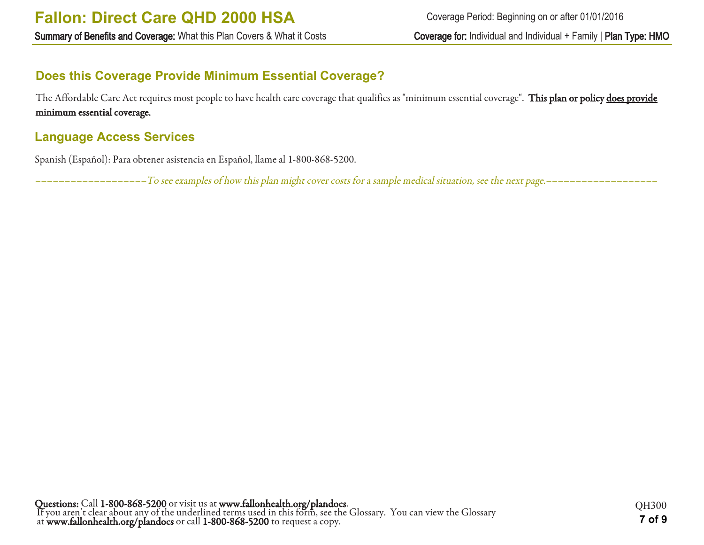### **Does this Coverage Provide Minimum Essential Coverage?**

The Affordable Care Act requires most people to have health care coverage that qualifies as "minimum essential coverage". This plan or policy does provide minimum essential coverage.

### **Language Access Services**

Spanish (Español): Para obtener asistencia en Español, llame al 1-800-868-5200.

–––––––––––––––––––To see examples of how this plan might cover costs for a sample medical situation, see the next page.–––––––––––––––––––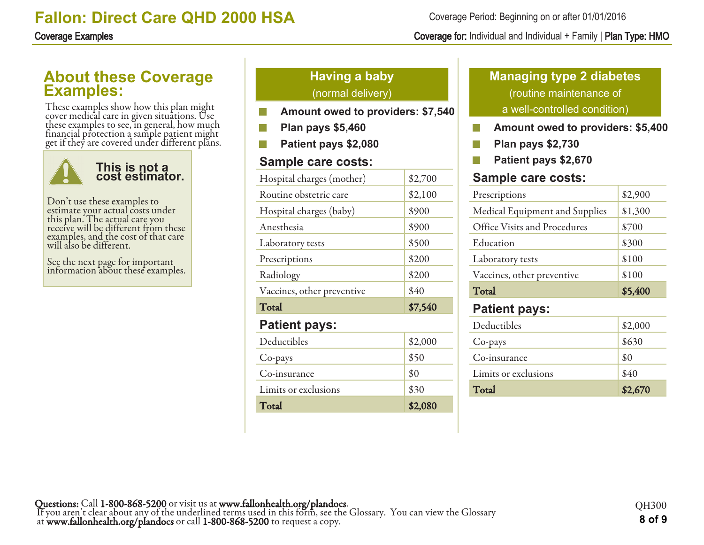#### Coverage Period: Beginning on or after 01/01/2016

#### Coverage Examples Coverage for: Individual and Individual + Family | Plan Type: HMO

### **About these Coverage Examples:**

These examples show how this plan might cover medical care in given situations. Use these examples to see, in general, how much financial protection a sample patient might get if they are covered under different plans.



Don't use these examples to estimate your actual costs under this plan. The actual care you receive will be different from these examples, and the cost of that care will also be different.

See the next page for important information about these examples.

### **Having a baby** (normal delivery)

- **Amount owed to providers: \$7,540**
- **Plan pays \$5,460**
- **Patient pays \$2,080**

#### **Sample care costs:**

| Hospital charges (mother)  | \$2,700 |
|----------------------------|---------|
| Routine obstetric care     | \$2,100 |
| Hospital charges (baby)    | \$900   |
| Anesthesia                 | \$900   |
| Laboratory tests           | \$500   |
| Prescriptions              | \$200   |
| Radiology                  | \$200   |
| Vaccines, other preventive | \$40    |
| Total                      | \$7,540 |
| <b>Patient pays:</b>       |         |
| Deductibles                | \$2,000 |
| Co-pays                    | \$50    |
| Co-insurance               | \$0     |
| Limits or exclusions       | \$30    |
| Total                      | \$2,080 |

### **Managing type 2 diabetes** (routine maintenance of a well-controlled condition)

- **Amount owed to providers: \$5,400** P.
- $\mathcal{C}^{\mathcal{C}}$ **Plan pays \$2,730**
- **Patient pays \$2,670** F.

#### **Sample care costs:**

| Prescriptions                  | \$2,900 |
|--------------------------------|---------|
| Medical Equipment and Supplies | \$1,300 |
| Office Visits and Procedures   | \$700   |
| Education                      | \$300   |
| Laboratory tests               | \$100   |
| Vaccines, other preventive     | \$100   |
| Total                          | \$5,400 |
| <b>Patient pays:</b>           |         |
|                                |         |

| Total                | \$2,670 |
|----------------------|---------|
| Limits or exclusions | \$40    |
| Co-insurance         | \$0     |
| Co-pays              | \$630   |
| Deductibles          | \$2,000 |
|                      |         |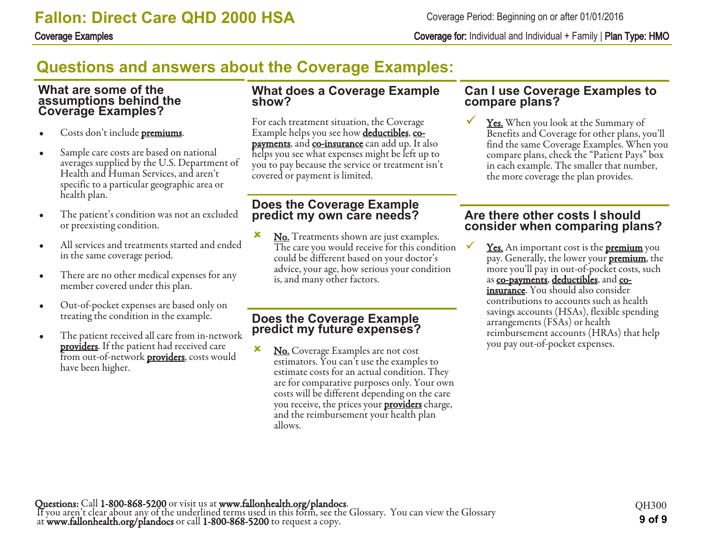Coverage Examples Coverage for: Individual and Individual + Family | Plan Type: HMO

# **Questions and answers about the Coverage Examples:**

#### **What are some of the assumptions behind the Coverage Examples?**

- Costs don't include **premiums**.
- Sample care costs are based on national averages supplied by the U.S. Department of Health and Human Services, and aren't specific to a particular geographic area or health plan.
- The patient's condition was not an excluded or preexisting condition.
- All services and treatments started and ended in the same coverage period.
- There are no other medical expenses for any member covered under this plan.
- Out-of-pocket expenses are based only on treating the condition in the example.
- The patient received all care from in-network **providers**. If the patient had received care from out-of-network **providers**, costs would have been higher.

#### **What does a Coverage Example show?**

For each treatment situation, the Coverage Example helps you see how **deductibles**, co**payments**, and **co-insurance** can add up. It also helps you see what expenses might be left up to you to pay because the service or treatment isn't covered or payment is limited.

#### **Does the Coverage Example predict my own care needs?**

**x** No. Treatments shown are just examples. The care you would receive for this condition could be different based on your doctor's advice, your age, how serious your condition is, and many other factors.

### **Does the Coverage Example predict my future expenses?**

**x** No. Coverage Examples are not cost estimators. You can't use the examples to estimate costs for an actual condition. They are for comparative purposes only. Your own costs will be different depending on the care you receive, the prices your **providers** charge, and the reimbursement your health plan allows.

#### **Can I use Coverage Examples to compare plans?**

Yes. When you look at the Summary of Benefits and Coverage for other plans, you'll find the same Coverage Examples. When you compare plans, check the "Patient Pays" box in each example. The smaller that number, the more coverage the plan provides.

#### **Are there other costs I should consider when comparing plans?**

Yes. An important cost is the **premium** you pay. Generally, the lower your **premium**, the more you'll pay in out-of-pocket costs, such as co-payments, deductibles, and coinsurance. You should also consider contributions to accounts such as health savings accounts (HSAs), flexible spending arrangements (FSAs) or health reimbursement accounts (HRAs) that help you pay out-of-pocket expenses.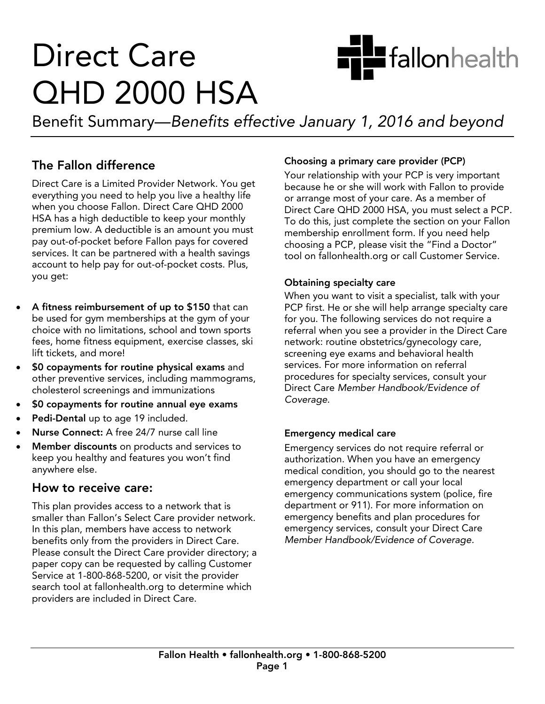

# **Direct Care QHD 2000 HSA**

Benefit Summary—Benefits effective January 1, 2016 and beyond

### The Fallon difference

Direct Care is a Limited Provider Network. You get everything you need to help you live a healthy life when you choose Fallon. Direct Care QHD 2000 HSA has a high deductible to keep your monthly premium low. A deductible is an amount you must pay out-of-pocket before Fallon pays for covered services. It can be partnered with a health savings account to help pay for out-of-pocket costs. Plus, account to the plus, plus out-of-pocket costs. Plus, plus, plus, plus, plus, plus, plus, plus, plus, plus, plus, plus, plus, plus, plus, plus, plus, plus, plus, plus, plus, plus, plus, plus, plus, plus, plus, plus, plus, p you get:

- A fitness reimbursement of up to \$150 that can<br>be used for gym memberships at the gym of your choice with no limitations, school and town sports fees, home fitness equipment, exercise classes, ski lift tickets, and more!
- **SO copayments for routine physical exams** and<br>
other preventive services including mammogram other preventive services, including mammograms,
- $\bullet$  \$0 copayments for routine annual eye exams
- Pedi-Dental up to age 19 included.
- Nurse Connect: A free 24/7 nurse call line
- Member discounts on products and services to<br>keep you healthy and features you won't find keep you healthy and features you won't find.<br>anywhere else anywhere else.

#### How to receive care:

This plan provides access to a network that is smaller than Fallon's Select Care provider network. In this plan, members have access to network. benefits only from the providers in Direct Care. Please consult the Direct Care provider directory; a paper copy can be requested by calling Customer Service at 1-800-868-5200, or visit the provider search tool at fallonhealth.org to determine which providers are included in Direct Care. providers are included in Direct Care.

**Choosing a primary care provider (PCP)**<br>Your relationship with your PCP is very important because he or she will work with Fallon to provide or arrange most of your care. As a member of Direct Care QHD 2000 HSA, you must select a PCP. To do this, just complete the section on your Fallon membership enrollment form. If you need help choosing a PCP, please visit the "Find a Doctor" tool on fallonhealth.org or call Customer Service. tool on fallonhealth.org or call Customer Service.

**Obtaining specialty care**<br>When you want to visit a specialist, talk with your PCP first. He or she will help arrange specialty care for you. The following services do not require a referral when you see a provider in the Direct Care network: routine obstetrics/gynecology care, screening eye exams and behavioral health services. For more information on referral procedures for specialty services, consult your Direct Care Member Handbook/Evidence of Coverage. Coverage.

**Emergency medical care<br>Emergency services do not require referral or** authorization. When you have an emergency medical condition, you should go to the nearest emergency department or call your local emergency communications system (police, fire department or 911). For more information on emergency benefits and plan procedures for emergency services, consult your Direct Care Member Handbook/Evidence of Coverage. Member Handbook/Evidence of Coverage.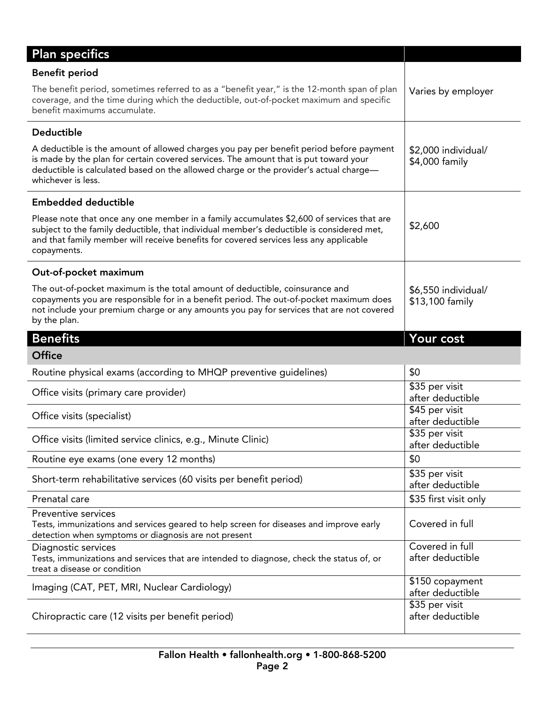| <b>Plan specifics</b>                                                                                                                                                                                                                                                                          |                                                        |
|------------------------------------------------------------------------------------------------------------------------------------------------------------------------------------------------------------------------------------------------------------------------------------------------|--------------------------------------------------------|
| <b>Benefit period</b>                                                                                                                                                                                                                                                                          |                                                        |
| The benefit period, sometimes referred to as a "benefit year," is the 12-month span of plan<br>coverage, and the time during which the deductible, out-of-pocket maximum and specific<br>benefit maximums accumulate.                                                                          | Varies by employer                                     |
| Deductible                                                                                                                                                                                                                                                                                     |                                                        |
| A deductible is the amount of allowed charges you pay per benefit period before payment<br>is made by the plan for certain covered services. The amount that is put toward your<br>deductible is calculated based on the allowed charge or the provider's actual charge-<br>whichever is less. | \$2,000 individual/<br>\$4,000 family                  |
| <b>Embedded deductible</b>                                                                                                                                                                                                                                                                     |                                                        |
| Please note that once any one member in a family accumulates \$2,600 of services that are<br>subject to the family deductible, that individual member's deductible is considered met,<br>and that family member will receive benefits for covered services less any applicable<br>copayments.  | \$2,600                                                |
| Out-of-pocket maximum                                                                                                                                                                                                                                                                          |                                                        |
| The out-of-pocket maximum is the total amount of deductible, coinsurance and<br>copayments you are responsible for in a benefit period. The out-of-pocket maximum does<br>not include your premium charge or any amounts you pay for services that are not covered<br>by the plan.             | \$6,550 individual/<br>\$13,100 family                 |
|                                                                                                                                                                                                                                                                                                |                                                        |
| <b>Benefits</b>                                                                                                                                                                                                                                                                                | Your cost                                              |
| <b>Office</b>                                                                                                                                                                                                                                                                                  |                                                        |
| Routine physical exams (according to MHQP preventive guidelines)                                                                                                                                                                                                                               | \$0                                                    |
| Office visits (primary care provider)                                                                                                                                                                                                                                                          | \$35 per visit<br>after deductible                     |
| Office visits (specialist)                                                                                                                                                                                                                                                                     | \$45 per visit                                         |
| Office visits (limited service clinics, e.g., Minute Clinic)                                                                                                                                                                                                                                   | after deductible<br>\$35 per visit<br>after deductible |
| Routine eye exams (one every 12 months)                                                                                                                                                                                                                                                        | \$0                                                    |
| Short-term rehabilitative services (60 visits per benefit period)                                                                                                                                                                                                                              | \$35 per visit<br>after deductible                     |
| Prenatal care                                                                                                                                                                                                                                                                                  | \$35 first visit only                                  |
| Preventive services<br>Tests, immunizations and services geared to help screen for diseases and improve early<br>detection when symptoms or diagnosis are not present                                                                                                                          | Covered in full                                        |
| Diagnostic services<br>Tests, immunizations and services that are intended to diagnose, check the status of, or<br>treat a disease or condition                                                                                                                                                | Covered in full<br>after deductible                    |
| Imaging (CAT, PET, MRI, Nuclear Cardiology)                                                                                                                                                                                                                                                    | \$150 copayment<br>after deductible<br>\$35 per visit  |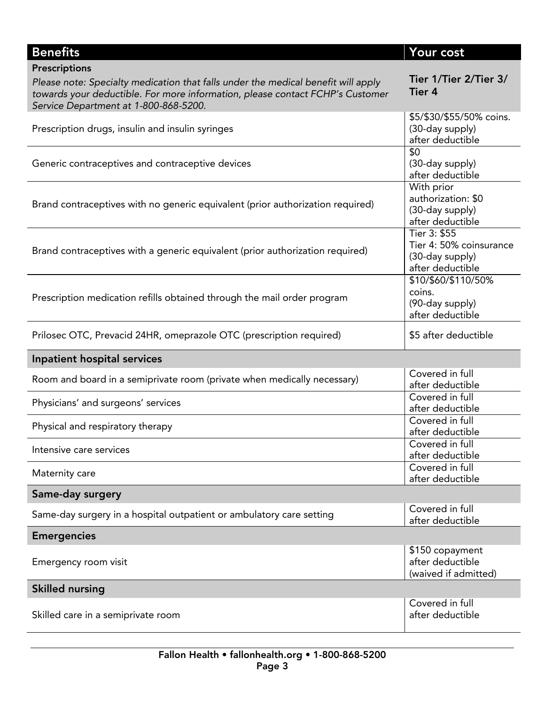| <b>Benefits</b>                                                                   | Your cost                           |
|-----------------------------------------------------------------------------------|-------------------------------------|
| Prescriptions                                                                     |                                     |
| Please note: Specialty medication that falls under the medical benefit will apply | Tier 1/Tier 2/Tier 3/               |
| towards your deductible. For more information, please contact FCHP's Customer     | Tier 4                              |
| Service Department at 1-800-868-5200.                                             |                                     |
|                                                                                   | \$5/\$30/\$55/50% coins.            |
| Prescription drugs, insulin and insulin syringes                                  | (30-day supply)                     |
|                                                                                   | after deductible                    |
|                                                                                   | \$0                                 |
| Generic contraceptives and contraceptive devices                                  | (30-day supply)<br>after deductible |
|                                                                                   |                                     |
|                                                                                   | With prior<br>authorization: \$0    |
| Brand contraceptives with no generic equivalent (prior authorization required)    | (30-day supply)                     |
|                                                                                   | after deductible                    |
|                                                                                   | Tier 3: \$55                        |
|                                                                                   | Tier 4: 50% coinsurance             |
| Brand contraceptives with a generic equivalent (prior authorization required)     | (30-day supply)                     |
|                                                                                   | after deductible                    |
|                                                                                   | \$10/\$60/\$110/50%                 |
|                                                                                   | coins.                              |
| Prescription medication refills obtained through the mail order program           | (90-day supply)                     |
|                                                                                   | after deductible                    |
|                                                                                   |                                     |
| Prilosec OTC, Prevacid 24HR, omeprazole OTC (prescription required)               | \$5 after deductible                |
| Inpatient hospital services                                                       |                                     |
| Room and board in a semiprivate room (private when medically necessary)           | Covered in full                     |
|                                                                                   | after deductible                    |
| Physicians' and surgeons' services                                                | Covered in full                     |
|                                                                                   | after deductible<br>Covered in full |
| Physical and respiratory therapy                                                  | after deductible                    |
|                                                                                   | Covered in full                     |
| Intensive care services                                                           | after deductible                    |
|                                                                                   | Covered in full                     |
| Maternity care                                                                    | after deductible                    |
| Same-day surgery                                                                  |                                     |
|                                                                                   | Covered in full                     |
| Same-day surgery in a hospital outpatient or ambulatory care setting              | after deductible                    |
| <b>Emergencies</b>                                                                |                                     |
|                                                                                   | \$150 copayment                     |
| Emergency room visit                                                              | after deductible                    |
|                                                                                   | (waived if admitted)                |
| <b>Skilled nursing</b>                                                            |                                     |
|                                                                                   | Covered in full                     |
| Skilled care in a semiprivate room                                                | after deductible                    |
|                                                                                   |                                     |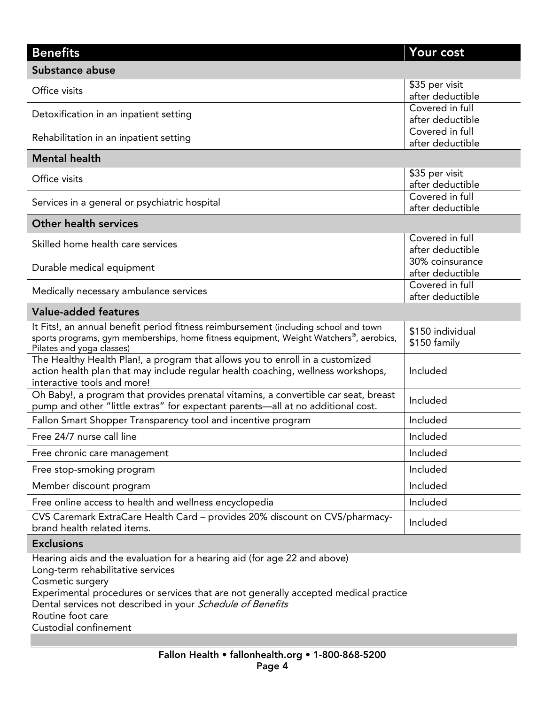#### Your cost Benefits Your cost of the cost of the cost of the cost of the cost of the cost of the cost of the cost of the cost of the cost of the cost of the cost of the cost of the cost of the cost of the cost of the cost of the cost Substance abuse Office visits after deduct Covered in full Detoxification in an inpatient setting and the covered in full covered in full problem. Covered in full Rehabilitation in an inpatient setting and the covered in full covered in full the setting  $\begin{array}{c} \text{Solve for all } n \text{ and } n \text{ is a function of } n \text{ and } n \text{ is a function of } n \text{ and } n \text{ is a function of } n \text{ and } n \text{ is a function of } n \text{ and } n \text{ is a function of } n \text{ and } n \text{ is a function of } n \text{ and } n \text{ is a function of } n \text{ and } n \text{$ <u>after deductions</u> Mental health Mental health.<br>Mental health Office visits after deduct after deductible<br>Covered in full Services in a general or psychiatric hospital example of the covered in full services in full services of  $\sim$ <u>after deductions</u> Other health services Other health services Skilled home health care services and the service of the service of the service of the service of the service of the service of the service of the service of the service of the service of the service of the service of the 30% coinsurance Durable medical equipment  $\begin{array}{c} \text{Down} \text{source} \\ \text{after} \text{deductible} \end{array}$ Covered in full Medically necessary ambulance services Covered in full executive in full executive in full effect of  $\mathbb{R}^n$ <u>after de ductie de d</u> Value-added features<br>It Fits!, an annual benefit period fitness reimbursement (including school and town \$150 individual It Fits of the Titus of the Fitter of the fitness equipment (Veight Watchers<sup>®</sup> aerob sports programs, gym membersnips, nome fitness equipment, weight watchers", aerobics,<br>Pilates and voga classes) \$150 family Pilates and yoga classes)<br>The Healthy Health Plan!, a program that allows you to enroll in a customized \$150 family action health plan that may include regular health coaching, wellness workshops, Included Included interactive tools and more! Oh Baby!, a program that provides prenatal vitamins, a convertible car seat, breast pump and other "little extras" for expectant parents—all at no additional cost. Included Fallon Smart Shopper Transparency tool and incentive program Included Included<br>Free 24/7 nurse call line Included Free 24/7 nurse call line Include the United States and Include Include Include Include Include Include Include Free chronic care management Inc. and the chronic care management Inc. and Inc. and Inc. and Inc. and Inc. and Free stop-smoking program Include program Include program Include program Include program Include program Include program Include program Include program Include program Include program Include program Include program Incl Member discount program Include the control of the control of the control of the control of the control of the control of the control of the control of the control of the control of the control of the control of the contro Free online access to health and wellness encyclopedia<br>The Caremark ExtraCare Health Card – provides 20% discount on CVS/pharmacy-CVS Caremark Extractation Caremark Extractation – provides 20% discount on CVS/pharmacy-<br>brand health related items.

**Exclusions**<br>Hearing aids and the evaluation for a hearing aid (for age 22 and above) Long-term rehabilitative services Cosmetic surgery Experimental procedures or services that are not generally accepted medical practice Experimental procedures or services that are not generally accepted medical practice<br>Dental services not described in your *Schedule of Benefits*<br>Routine foot care

Custodial confinement Custodial confinement